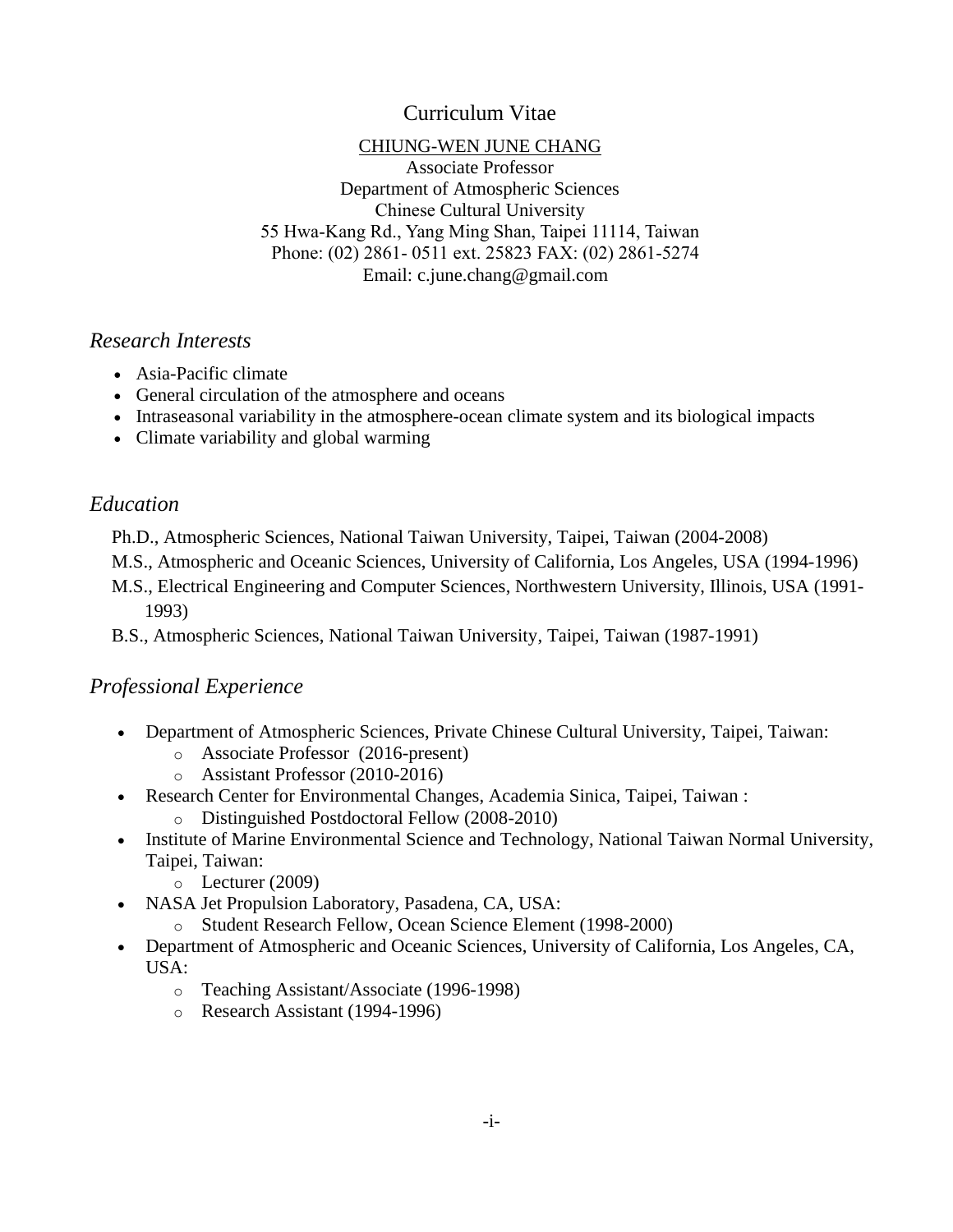# Curriculum Vitae

### CHIUNG-WEN JUNE CHANG

Associate Professor Department of Atmospheric Sciences Chinese Cultural University 55 Hwa-Kang Rd., Yang Ming Shan, Taipei 11114, Taiwan Phone: (02) 2861- 0511 ext. 25823 FAX: (02) 2861-5274 Email: [c.june.chang@gmail.com](mailto:c.june.chang@gmail.com)

# *Research Interests*

- Asia-Pacific climate
- General circulation of the atmosphere and oceans
- Intraseasonal variability in the atmosphere-ocean climate system and its biological impacts
- Climate variability and global warming

# *Education*

Ph.D., Atmospheric Sciences, National Taiwan University, Taipei, Taiwan (2004-2008)

- M.S., Atmospheric and Oceanic Sciences, University of California, Los Angeles, USA (1994-1996)
- M.S., Electrical Engineering and Computer Sciences, Northwestern University, Illinois, USA (1991- 1993)

B.S., Atmospheric Sciences, National Taiwan University, Taipei, Taiwan (1987-1991)

# *Professional Experience*

- Department of Atmospheric Sciences, Private Chinese Cultural University, Taipei, Taiwan:
	- o Associate Professor (2016-present)
	- o Assistant Professor (2010-2016)
- Research Center for Environmental Changes, Academia Sinica, Taipei, Taiwan :
	- o Distinguished Postdoctoral Fellow (2008-2010)
- Institute of Marine Environmental Science and Technology, National Taiwan Normal University, Taipei, Taiwan:
	- $\circ$  Lecturer (2009)
- NASA Jet Propulsion Laboratory, Pasadena, CA, USA:
	- o Student Research Fellow, Ocean Science Element (1998-2000)
- Department of Atmospheric and Oceanic Sciences, University of California, Los Angeles, CA, USA:
	- o Teaching Assistant/Associate (1996-1998)
	- o Research Assistant (1994-1996)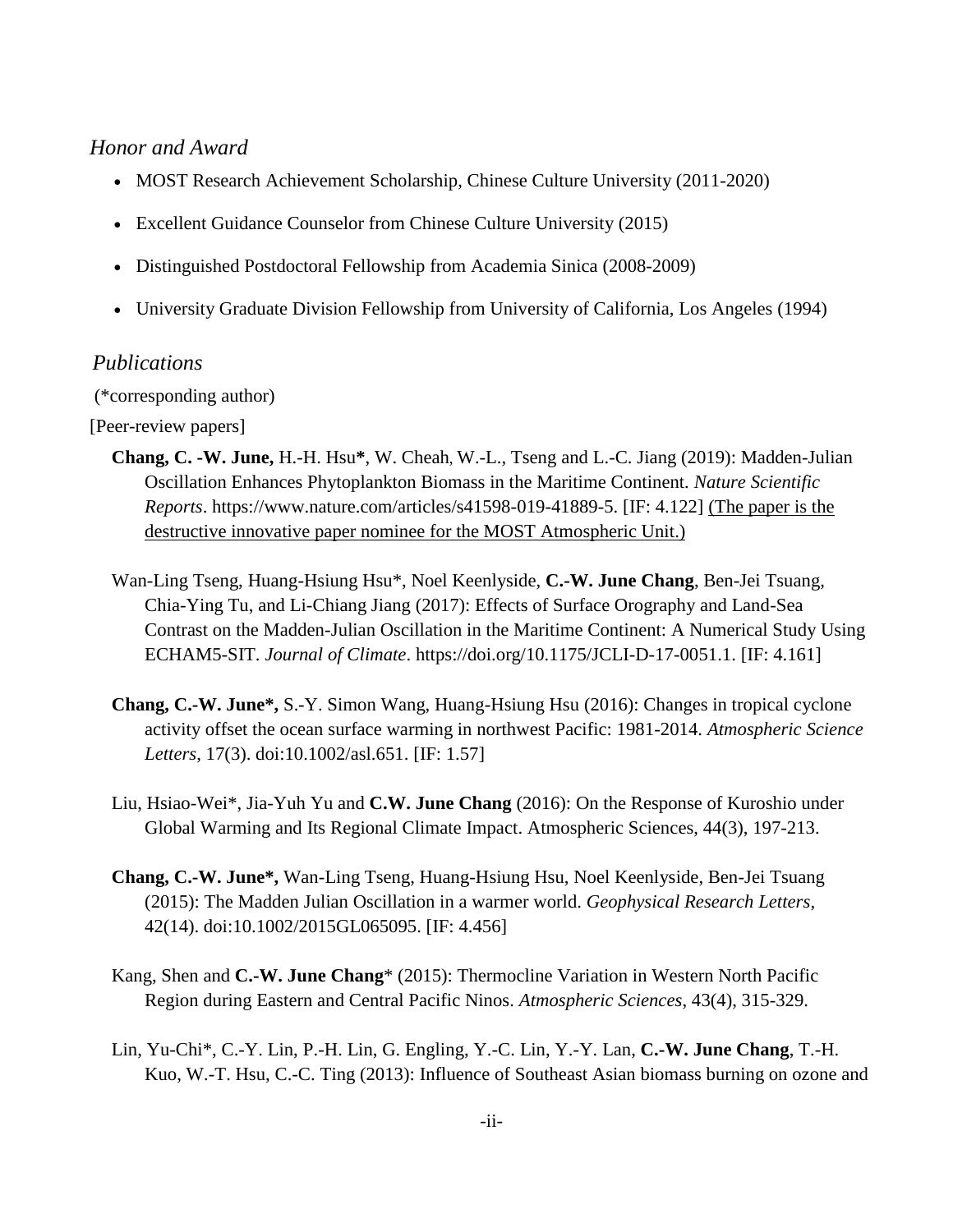## *Honor and Award*

- MOST Research Achievement Scholarship, Chinese Culture University (2011-2020)
- Excellent Guidance Counselor from Chinese Culture University (2015)
- Distinguished Postdoctoral Fellowship from Academia Sinica (2008-2009)
- University Graduate Division Fellowship from University of California, Los Angeles (1994)

#### *Publications*

(\*corresponding author)

[Peer-review papers]

- **Chang, C. -W. June,** H.-H. Hsu**\***, W. Cheah, W.-L., Tseng and L.-C. Jiang (2019): Madden-Julian Oscillation Enhances Phytoplankton Biomass in the Maritime Continent. *Nature Scientific Reports*. https://www.nature.com/articles/s41598-019-41889-5. [IF: 4.122] (The paper is the destructive innovative paper nominee for the MOST Atmospheric Unit.)
- Wan-Ling Tseng, Huang-Hsiung Hsu\*, Noel Keenlyside, **C.-W. June Chang**, Ben-Jei Tsuang, Chia-Ying Tu, and Li-Chiang Jiang (2017): Effects of Surface Orography and Land-Sea Contrast on the Madden-Julian Oscillation in the Maritime Continent: A Numerical Study Using ECHAM5-SIT. *Journal of Climate*. https://doi.org/10.1175/JCLI-D-17-0051.1. [IF: 4.161]
- **Chang, C.-W. June\*,** S.-Y. Simon Wang, Huang-Hsiung Hsu (2016): Changes in tropical cyclone activity offset the ocean surface warming in northwest Pacific: 1981-2014. *Atmospheric Science Letters*, 17(3). doi:10.1002/asl.651. [IF: 1.57]
- Liu, Hsiao-Wei\*, Jia-Yuh Yu and **C.W. June Chang** (2016): On the Response of Kuroshio under Global Warming and Its Regional Climate Impact. Atmospheric Sciences, 44(3), 197-213.
- **Chang, C.-W. June\*,** Wan-Ling Tseng, Huang-Hsiung Hsu, Noel Keenlyside, Ben-Jei Tsuang (2015): The Madden Julian Oscillation in a warmer world. *Geophysical Research Letters*, 42(14). doi:10.1002/2015GL065095. [IF: 4.456]
- Kang, Shen and **C.-W. June Chang**\* (2015): Thermocline Variation in Western North Pacific Region during Eastern and Central Pacific Ninos. *Atmospheric Sciences*, 43(4), 315-329.
- Lin, Yu-Chi\*, C.-Y. Lin, P.-H. Lin, G. Engling, Y.-C. Lin, Y.-Y. Lan, **C.-W. June Chang**, T.-H. Kuo, W.-T. Hsu, C.-C. Ting (2013): Influence of Southeast Asian biomass burning on ozone and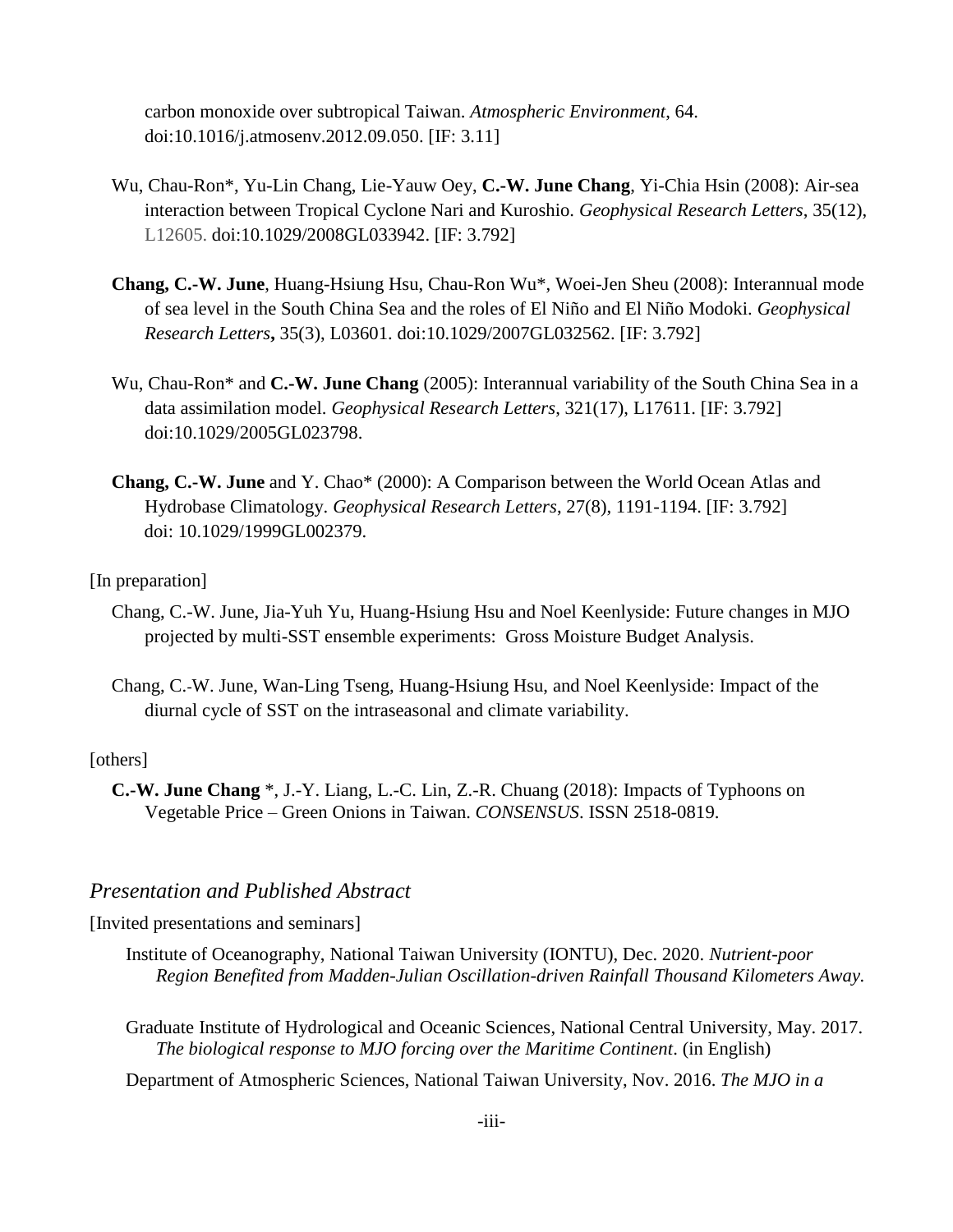carbon monoxide over subtropical Taiwan. *Atmospheric Environment*, 64. doi:10.1016/j.atmosenv.2012.09.050. [IF: 3.11]

- Wu, Chau-Ron\*, Yu-Lin Chang, Lie-Yauw Oey, **C.-W. June Chang**, Yi-Chia Hsin (2008): Air-sea interaction between Tropical Cyclone Nari and Kuroshio. *Geophysical Research Letters*, 35(12), L12605. doi:10.1029/2008GL033942. [IF: 3.792]
- **Chang, C.-W. June**, Huang-Hsiung Hsu, Chau-Ron Wu\*, Woei-Jen Sheu (2008): Interannual mode of sea level in the South China Sea and the roles of El Niño and El Niño Modoki. *Geophysical Research Letters***,** 35(3), L03601. doi:10.1029/2007GL032562. [IF: 3.792]
- Wu, Chau-Ron\* and **C.-W. June Chang** (2005): Interannual variability of the South China Sea in a data assimilation model. *Geophysical Research Letters*, 321(17), L17611. [IF: 3.792] doi:10.1029/2005GL023798.
- **Chang, C.-W. June** and Y. Chao\* (2000): A Comparison between the World Ocean Atlas and Hydrobase Climatology. *Geophysical Research Letters*, 27(8), 1191-1194. [IF: 3.792] doi: 10.1029/1999GL002379.

#### [In preparation]

- Chang, C.-W. June, Jia-Yuh Yu, Huang-Hsiung Hsu and Noel Keenlyside: Future changes in MJO projected by multi-SST ensemble experiments: Gross Moisture Budget Analysis.
- Chang, C.-W. June, Wan-Ling Tseng, Huang-Hsiung Hsu, and Noel Keenlyside: Impact of the diurnal cycle of SST on the intraseasonal and climate variability.

#### [others]

**C.-W. June Chang** \*, J.-Y. Liang, L.-C. Lin, Z.-R. Chuang (2018): Impacts of Typhoons on Vegetable Price – Green Onions in Taiwan. *CONSENSUS*. ISSN 2518-0819.

### *Presentation and Published Abstract*

[Invited presentations and seminars]

- Institute of Oceanography, National Taiwan University (IONTU), Dec. 2020. *Nutrient-poor Region Benefited from Madden-Julian Oscillation-driven Rainfall Thousand Kilometers Away.*
- Graduate Institute of Hydrological and Oceanic Sciences, National Central University, May. 2017. *The biological response to MJO forcing over the Maritime Continent*. (in English)
- Department of Atmospheric Sciences, National Taiwan University, Nov. 2016. *The MJO in a*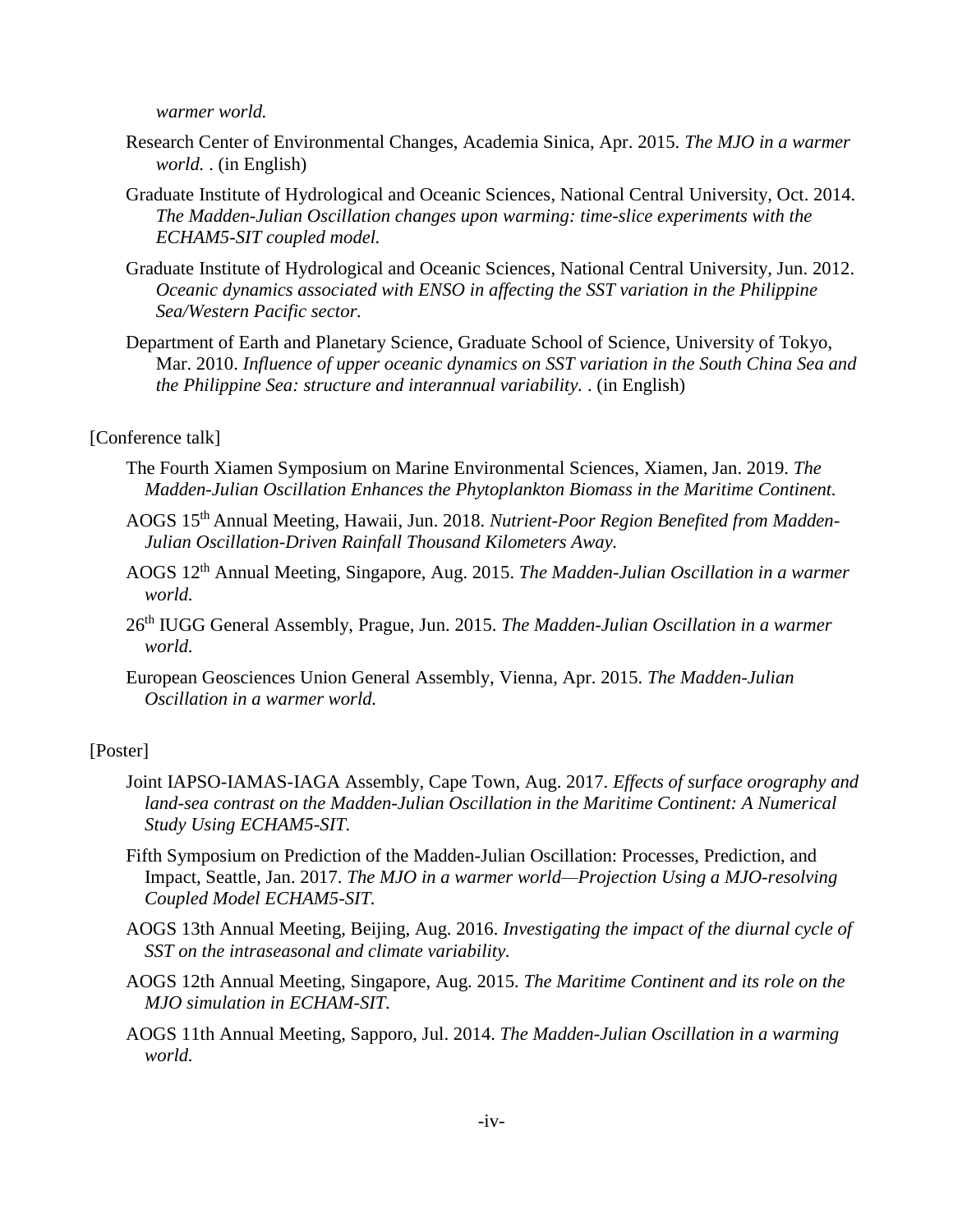*warmer world.*

- Research Center of Environmental Changes, Academia Sinica, Apr. 2015. *The MJO in a warmer world.* . (in English)
- Graduate Institute of Hydrological and Oceanic Sciences, National Central University, Oct. 2014. *The Madden-Julian Oscillation changes upon warming: time-slice experiments with the ECHAM5-SIT coupled model.*
- Graduate Institute of Hydrological and Oceanic Sciences, National Central University, Jun. 2012. *Oceanic dynamics associated with ENSO in affecting the SST variation in the Philippine Sea/Western Pacific sector.*
- Department of Earth and Planetary Science, Graduate School of Science, University of Tokyo, Mar. 2010. *Influence of upper oceanic dynamics on SST variation in the South China Sea and the Philippine Sea: structure and interannual variability.* . (in English)

#### [Conference talk]

- The Fourth Xiamen Symposium on Marine Environmental Sciences, Xiamen, Jan. 2019. *The Madden-Julian Oscillation Enhances the Phytoplankton Biomass in the Maritime Continent.*
- AOGS 15th Annual Meeting, Hawaii, Jun. 2018. *Nutrient-Poor Region Benefited from Madden-Julian Oscillation-Driven Rainfall Thousand Kilometers Away.*
- AOGS 12th Annual Meeting, Singapore, Aug. 2015. *The Madden-Julian Oscillation in a warmer world.*
- 26th IUGG General Assembly, Prague, Jun. 2015. *The Madden-Julian Oscillation in a warmer world.*
- European Geosciences Union General Assembly, Vienna, Apr. 2015. *The Madden-Julian Oscillation in a warmer world.*

#### [Poster]

- Joint IAPSO-IAMAS-IAGA Assembly, Cape Town, Aug. 2017. *Effects of surface orography and*  land-sea contrast on the Madden-Julian Oscillation in the Maritime Continent: A Numerical *Study Using ECHAM5-SIT.*
- Fifth Symposium on Prediction of the Madden-Julian Oscillation: Processes, Prediction, and Impact, Seattle, Jan. 2017. *The MJO in a warmer world—Projection Using a MJO-resolving Coupled Model ECHAM5-SIT.*
- AOGS 13th Annual Meeting, Beijing, Aug. 2016. *Investigating the impact of the diurnal cycle of SST on the intraseasonal and climate variability.*
- AOGS 12th Annual Meeting, Singapore, Aug. 2015. *The Maritime Continent and its role on the MJO simulation in ECHAM-SIT.*
- AOGS 11th Annual Meeting, Sapporo, Jul. 2014. *The Madden-Julian Oscillation in a warming world.*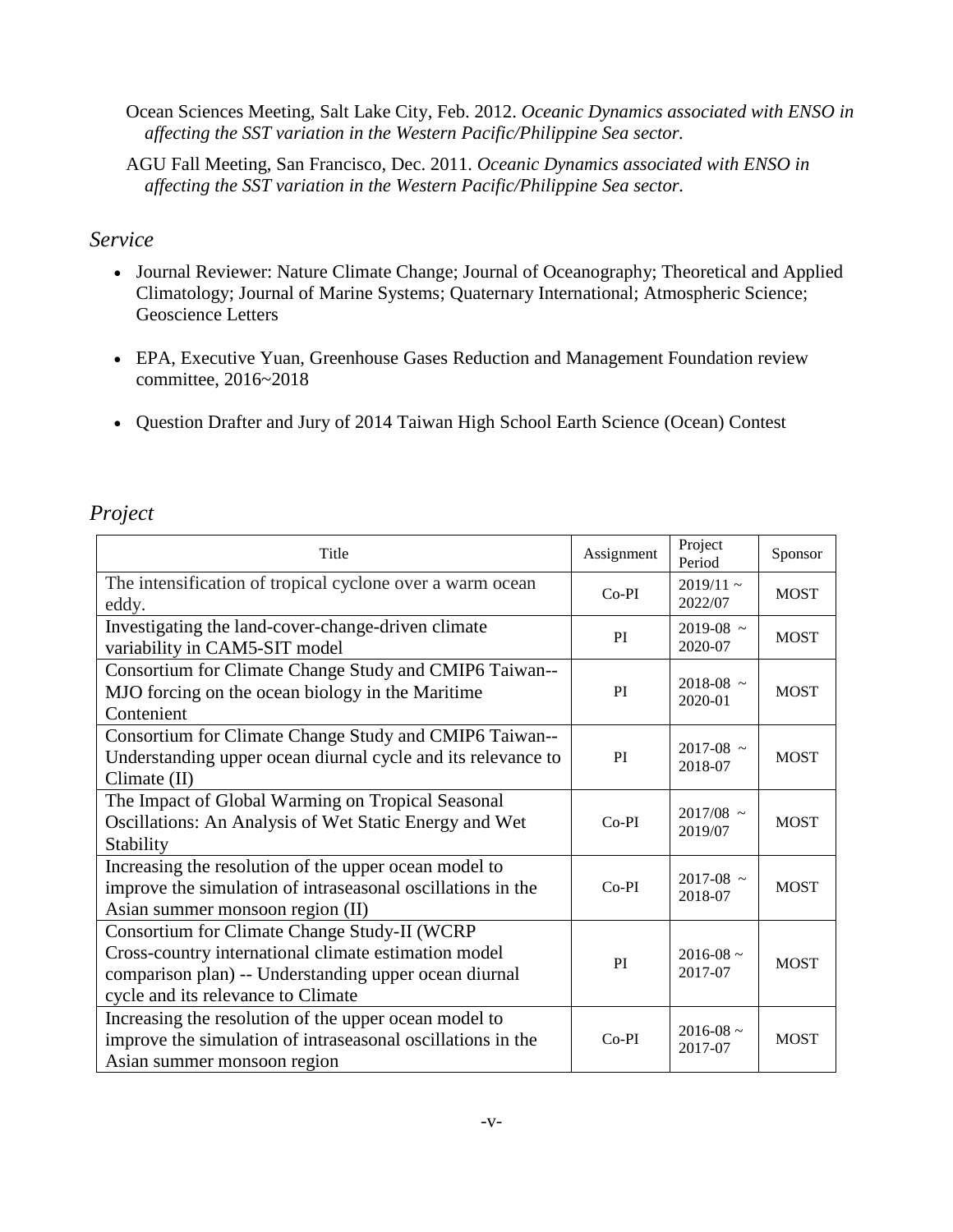Ocean Sciences Meeting, Salt Lake City, Feb. 2012. *Oceanic Dynamics associated with ENSO in affecting the SST variation in the Western Pacific/Philippine Sea sector.*

AGU Fall Meeting, San Francisco, Dec. 2011. *Oceanic Dynamics associated with ENSO in affecting the SST variation in the Western Pacific/Philippine Sea sector.*

### *Service*

- Journal Reviewer: Nature Climate Change; Journal of Oceanography; Theoretical and Applied Climatology; Journal of Marine Systems; Quaternary International; Atmospheric Science; Geoscience Letters
- EPA, Executive Yuan, Greenhouse Gases Reduction and Management Foundation review committee, 2016~2018
- Question Drafter and Jury of 2014 Taiwan High School Earth Science (Ocean) Contest

# *Project*

| Title                                                                                                                                                                                               | Assignment | Project<br>Period        | Sponsor     |
|-----------------------------------------------------------------------------------------------------------------------------------------------------------------------------------------------------|------------|--------------------------|-------------|
| The intensification of tropical cyclone over a warm ocean<br>eddy.                                                                                                                                  | $Co-PI$    | $2019/11$ ~<br>2022/07   | <b>MOST</b> |
| Investigating the land-cover-change-driven climate<br>variability in CAM5-SIT model                                                                                                                 | PI         | $2019 - 08$ ~<br>2020-07 | <b>MOST</b> |
| Consortium for Climate Change Study and CMIP6 Taiwan--<br>MJO forcing on the ocean biology in the Maritime<br>Contenient                                                                            | PI         | $2018 - 08$ ~<br>2020-01 | <b>MOST</b> |
| Consortium for Climate Change Study and CMIP6 Taiwan--<br>Understanding upper ocean diurnal cycle and its relevance to<br>Climate (II)                                                              | PI         | $2017 - 08$ ~<br>2018-07 | <b>MOST</b> |
| The Impact of Global Warming on Tropical Seasonal<br>Oscillations: An Analysis of Wet Static Energy and Wet<br>Stability                                                                            | $Co-PI$    | $2017/08$ ~<br>2019/07   | <b>MOST</b> |
| Increasing the resolution of the upper ocean model to<br>improve the simulation of intraseasonal oscillations in the<br>Asian summer monsoon region (II)                                            | $Co-PI$    | $2017 - 08$ ~<br>2018-07 | <b>MOST</b> |
| Consortium for Climate Change Study-II (WCRP<br>Cross-country international climate estimation model<br>comparison plan) -- Understanding upper ocean diurnal<br>cycle and its relevance to Climate | PI         | $2016 - 08$ ~<br>2017-07 | <b>MOST</b> |
| Increasing the resolution of the upper ocean model to<br>improve the simulation of intraseasonal oscillations in the<br>Asian summer monsoon region                                                 | $Co-PI$    | $2016 - 08$ ~<br>2017-07 | <b>MOST</b> |